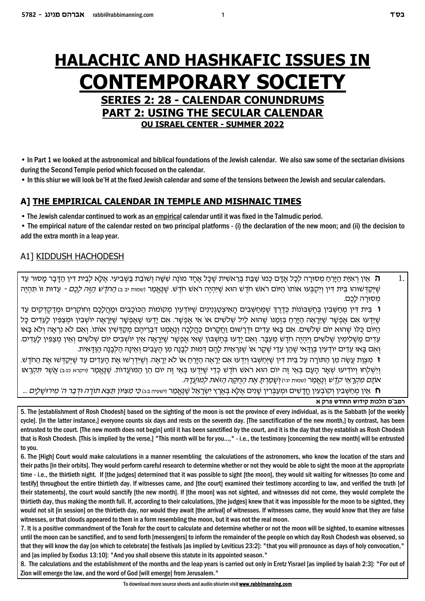# **HALACHIC AND HASHKAFIC ISSUES IN CONTEMPORARY SOCIETY SERIES 2: 28 - CALENDAR CONUNDRUMS PART 2: USING THE SECULAR CALENDAR OU ISRAEL CENTER - SUMMER 2022**

• In Part 1 we looked at the astronomical and biblical foundations of the Jewish calendar. We also saw some of the sectarian divisions during the Second Temple period which focused on the calendar.

. In this shiur we will look be'H at the fixed Jewish calendar and some of the tensions between the Jewish and secular calendars.

### A] THE EMPIRICAL CALENDAR IN TEMPLE AND MISHNAIC TIMES

• The Jewish calendar continued to work as an empirical calendar until it was fixed in the Talmudic period.

• The empirical nature of the calendar rested on two principal platforms - (i) the declaration of the new moon; and (ii) the decision to add the extra month in a leap year.

### A1] KIDDUSH HACHODESH

 $1<sub>1</sub>$ **ה** אֵין רְאִיַּת הַיָּרֵחַ מִסוּרָה לִכָּל אָדָם כִּמוֹ שַׁבַּת בִּרֵאשִׁית שֵׁכָּל אֵחָד מוֹנֵה שִׁשָּׁה וִשׁוֹבֵת בַּשִּׁבִיעִי. אֵלָא לִבֵית דִּין הַדָּבָר מָסוּר עַד שֵׁיְקַדְשׁוּהוּ בֵּית דְין וִיקִבְּעוּ אוֹתוֹ הַיּוֹם רֹאשׁ חֹדֵשׁ הוא שֵׁיִּהְיֵה רֹאשׁ חֹדֵשׁ. שַׁנֵּאֵמַר ושמות יב ב*ו הַחֹדֵשׁ הַזֵּה לָכֵם -* עֵדוּת זוֹ תִּהְיֵה מִסו<u>ּרה לַב</u>ָם.

ו בֵּית דִּין מְחַשָּׁבִין בַּחֲשָׁבוֹנוֹת כְּדֵרְדְּ שֶׁמַּחַשָּׁבִים הַאִיצְטֻגְוָינִים שֵׁיוֹדַעִין מִקוֹמוֹת הַכּוֹכָבִים וּמַהֲלָכֶם וְחוֹקָרִים וּמַדַקִדְקִים עַד ְשֶׁיֵּדְעוּ אָם אֲפְשֶׁר שֶׁיֵּרֵאֶה הַיַּרֵחַ בִּזְמַנּוֹ שֶׁהוּא לָיל שָׁלֹשִׁים או אִי אֲפְשֶׁר. אִם יַדְעוּ שֶׁאֲפְשֶׁר שֶׁיַּרְאֶה יוֹשָׁבְין וּמְצַפְּין לַעֲדִים כַּל הַיּוֹם כְּלוֹ שֶׁהוּא יוֹם שְׁלֹשִׁים. אִם בָּאוּ עֵדִים וּדְרַשׁוּם וַחֲקַרוּם כַּהֲלָכָה וְנֵאֲמְנוּ דְּבְרִיהֶם מְקַדְּשִׁין אוֹתוֹ. וְאִם לֹא וְרָאָה וְלֹא בָּאוּ ּעֵדִים מַשָּׁלִימִין שָׁלֹשִׁים וְיִהְיֶה חֹדֵשׁ מִעֲבָּר. וְאִם יַדְעוּ בְּחֵשְׁבּוֹן שֵׁאִי אֵפְשַׁר שֵׁיֵרָאֵה אֵין יוֹשָׁבִים יוֹם שִׁלֹשִׁים וְאֵין מְצַפִּין לַעֲדִים. וְאִם בַּאוּ עֶדִים יוֹדְעִין בְּוַדְאי שֶׁהֵן עֶדֶי שֶׁקֵר או שֶׁנְרְאָית לַהֵם דְּמוּת לִבְנַה מִן הֵעֲבָים וְאֵינַהּ הַלְבַנָה הַוַּדְּאִית.

**ז** מצות עשה מן התורה על בית דין שיחשבו וידעו אם יראה הירח או לא יראה. ושידרשו את העדים עד שיקדשו את החדש. וְיִשְׁלַחוּ וְיוֹדִיעוּ שָׁאָר הָעָם בָּאֵי זֵה יוֹם הוא רֹאשׁ חֹדֵשׁ כְּדֵי שֵׁיֵּדְעוּ בָּאֵי זֵה יוֹם הֵן הַמּוֹעֲדוֹת. שַׁנַּאֲמַר וויקרא כגּבּ) *אֲשֵׁר תִּקְרָאוּ* אתם מקראי קדש ונאמר ושמות יגון ושמרת את החקה הזאת למועדה.

… אין מַחַשָּׁבִין וִקוֹבְעִין חֲדַשִׁים וּמִעַבְּרִין שָׁנִים אֲלֵא בָּאֵרץ יִשְׂרַאֵל שֶׁנֵּאֱמַר וושעה בּגו *כִּי מִצְיּוֹן תֵּצֵא תוֹרָה וּדְבַר ה' מִירוּשַׁלַיִם* ...

#### רמב"ם הלכות קידוש החודש פרק א

5. The lestablishment of Rosh Chodesh] based on the sighting of the moon is not the province of every individual, as is the Sabbath [of the weekly cycle]. [In the latter instance,] everyone counts six days and rests on the seventh day. [The sanctification of the new month,] by contrast, has been entrusted to the court. [The new month does not begin] until it has been sanctified by the court, and it is the day that they establish as Rosh Chodesh that is Rosh Chodesh. [This is implied by the verse,] "This month will be for you...," - i.e., the testimony [concerning the new month] will be entrusted to you.

6. The [High] Court would make calculations in a manner resembling the calculations of the astronomers, who know the location of the stars and their paths [in their orbits]. They would perform careful research to determine whether or not they would be able to sight the moon at the appropriate time - i.e., the thirtieth night. If [the judges] determined that it was possible to sight [the moon], they would sit waiting for witnesses [to come and testify] throughout the entire thirtieth day. If witnesses came, and [the court] examined their testimony according to law, and verified the truth [of their statements], the court would sanctify [the new month]. If [the moon] was not sighted, and witnesses did not come, they would complete the thirtieth day, thus making the month full. If, according to their calculations, [the judges] knew that it was impossible for the moon to be sighted, they would not sit [in session] on the thirtieth day, nor would they await [the arrival] of witnesses. If witnesses came, they would know that they are false witnesses, or that clouds appeared to them in a form resembling the moon, but it was not the real moon.

7. It is a positive commandment of the Torah for the court to calculate and determine whether or not the moon will be sighted, to examine witnesses until the moon can be sanctified, and to send forth [messengers] to inform the remainder of the people on which day Rosh Chodesh was observed, so that they will know the day [on which to celebrate] the festivals [as implied by Leviticus 23:2]: "that you will pronounce as days of holy convocation," and [as implied by Exodus 13:10]: "And you shall observe this statute in its appointed season."

8. The calculations and the establishment of the months and the leap years is carried out only in Eretz Yisrael [as implied by Isaiah 2:3]: "For out of Zion will emerge the law, and the word of God [will emerge] from Jerusalem."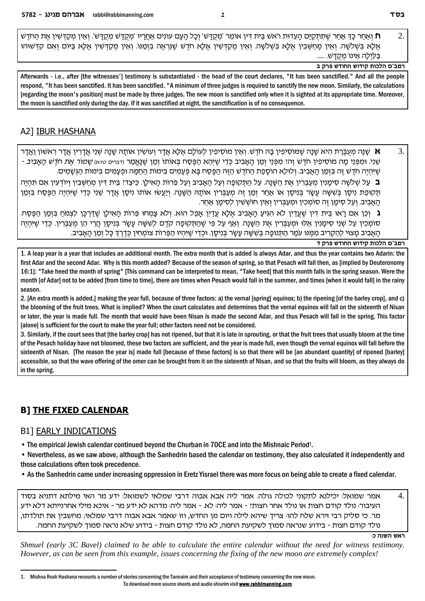$\overline{2}$ . ח ואחר כּדְ אחר שתתקים העדות ראש בית דין אומר 'מקדש' וכל העם עונים אחריו 'מקדש מקדש'. ואין מקדשין את החדש **N** אֵלָּא בִּשְׁלֹשָׁה וְאֵין מְחַשְּׁבִין אֵלָּא בִּשְׁלֹשָׁה וְאֵין מִקַדְּשִׁין אֵלָּא חֹדֵשׁ שֵׁנְרְאֵה בִזְמַנוֹ. וְאֵין מִקַדְּשִׁין אֵלָֹּא בַּיּוֹם וְאִם קִדְּשׁוּהוּ בַּלַיְלַה אֵינוֹ מִקְדָשׁ. .....

רמב"ם הלכות קידוש החודש פרק ב

Afterwards - i.e., after Ithe witnesses'l testimony is substantiated - the head of the court declares. "It has been sanctified." And all the people respond, "It has been sanctified. It has been sanctified. "A minimum of three judges is required to sanctify the new moon. Similarly, the calculations [regarding the moon's position] must be made by three judges. The new moon is sanctified only when it is sighted at its appropriate time. Moreover, the moon is sanctified only during the day. If it was sanctified at night, the sanctification is of no consequence.

# A2] **IBUR HASHANA**

אַ שָׁנָּה מִעֲבֵּרַת הִיא שָׁנָה שֵׁמּוֹסִיפִין בָּה חֹדֵשׁ. וְאֵין מוֹסִיפִין לְעוֹלָם אֵלֶא אֲדָר וְעוֹשִׂין אוֹתָהּ שָׁנָה שְׁנֵי אֲדָרִין אֲדָר רְאשׁוֹן וַאֲדָר 3. שני. ומפני מה מוסיפין חדש זה: מפני זמן האביב כדי שיהא הפסח באותו זמן שנאמר <sub>ודברים טיצ</sub>ו שמו*ר את חדש האביב -*שֶׁיּהְיֶה חֹדֶשׁ זֶה בַּזְמַן הַאֲבִיב. וְלוּלֶא הוֹסָפַת הַחֹדֶשׁ הַזֶּה הַפֶּסַח בַּא פְּעָמִים בִּימוֹת הַחַמַּה וּפְעַמִים בִּימוֹת הַגְּשָׁמִים. ב. על שלשה סימניו מעבריו את השנה. על התקופה ועל האביב ועל פרות האילו. כֵּיצָדִי בֵּית דִּיו מַחַשְּׁבִין וְיוֹדְעִין אִם תְּהְיֶה תַּקוּפַת נִיסֵן בַּשָּׂשָׁה עַשָׂר בַּנִיסֵן אוֹ אַחַר זְמַן זֶה מִעַבְּרִין אוֹתַהּ הַשָּׁנָה. וְיַעֲשׂוּ אוֹתוֹ נִיסֵן אֲדַר שֶׁנִי כָּדֵי שֶׁיּהְיֶה הַפֵּסֶח בַּזְמַן הַאֲבִיב. וְעֲל סִימֵן זֶה סוֹמִכְין וּמִעֲבָּרִין וְאֵין חוֹשָׁשָׁין לִסְימַן אַחֵר.

ג וְכֵן אִם רָאוּ בֵּית דִּין שֶׁעֲדֵיִן לֹא הִגִּיעַ הָאָבִיב אֵלָּא עֲדַיִן אָפֵל הוּא. ולֹא צָמִחוּ פֵרוֹת הָאִילַן שֶׁדַּרְכָּן לִצְמֹחַ בִּזְמַן הַפֵּסַח. סומכין על שני סימנין אלו ומעברין את השנה. ואף על פי שהתקופה קדם לששה עשר בניסן הרי הן מעברין. כדי שיהיה הַאֲבְיב מַצוּי לְהַקְרִיב מְמֵנּוּ עֹמֵר הַתְּנוּפָה בְּשָׁשָּׁה עַשַׂר בְּנִיסֵן. וּכְדֵי שֶׁיִּהְיוּ הַפֵּרוֹת צוֹמְחִין כְּדֵרֶךְ כַּל זְמַן הַאֲבְיב.

רמב"ם הלכות קידוש החודש פרק ד

1. A leap year is a year that includes an additional month. The extra month that is added is always Adar, and thus the year contains two Adarin: the first Adar and the second Adar. Why is this month added? Because of the season of spring, so that Pesach will fall then, as [implied by Deuteronomy 16:1]: "Take heed the month of spring" [This command can be interpreted to mean, "Take heed] that this month falls in the spring season. Were the month lof Adarl not to be added Ifrom time to timel, there are times when Pesach would fall in the summer, and times lwhen it would falll in the rainv season.

2. [An extra month is added,] making the year full, because of three factors: a) the vernal [spring] equinox; b) the ripening [of the barley crop], and c) the blooming of the fruit trees. What is implied? When the court calculates and determines that the vernal equinox will fall on the sixteenth of Nisan or later, the year is made full. The month that would have been Nisan is made the second Adar, and thus Pesach will fall in the spring. This factor [alone] is sufficient for the court to make the year full; other factors need not be considered.

3. Similarly, if the court sees that [the barley crop] has not ripened, but that it is late in sprouting, or that the fruit trees that usually bloom at the time of the Pesach holiday have not bloomed, these two factors are sufficient, and the year is made full, even though the vernal equinox will fall before the sixteenth of Nisan. The reason the year is] made full [because of these factors] is so that there will be [an abundant quantity] of ripened [barley] accessible, so that the wave offering of the omer can be brought from it on the sixteenth of Nisan, and so that the fruits will bloom, as they always do in the spring.

# **B1 THE FIXED CALENDAR**

### **B1] EARLY INDICATIONS**

• The empirical Jewish calendar continued beyond the Churban in 70CE and into the Mishnaic Period<sup>1</sup>.

• Nevertheless, as we saw above, although the Sanhedrin based the calendar on testimony, they also calculated it independently and those calculations often took precedence.

• As the Sanhedrin came under increasing oppression in Eretz Yisrael there was more focus on being able to create a fixed calendar.

 $\overline{4}$ . אמר שמואל: יכילנא לתקוני לכולה גולה. אמר ליה אבא אבוה דרבי שמלאי לשמואל: ידע מר האי מילתא דתניא בסוד העיבור: נולד קודם חצות או נולד אחר חצותי - אמר ליה: לא. - אמר ליה: מדהא לא ידע מר - איכא מילי אחרנייתא דלא ידע מר. כי סליק רבי זירא שלח להו: צריך שיהא לילה ויום מן החדש, וזו שאמר אבא אבוה דרבי שמלאי; מחשבין את תולדתו, נולד קודם חצות - בידוע שנראה סמוך לשקיעת החמה, לא נולד קודם חצות - בידוע שלא נראה סמוך לשקיעת החמה.

ראש השנה כ

Shmuel (early 3C Bayel) claimed to be able to calculate the entire calendar without the need for witness testimony. However, as can be seen from this example, issues concerning the fixing of the new moon are extremely complex!

Mishna Rosh Hashana recounts a number of stories concerning the Tannaim and their acceptance of testimony concerning the new moon.  $\mathbf{1}$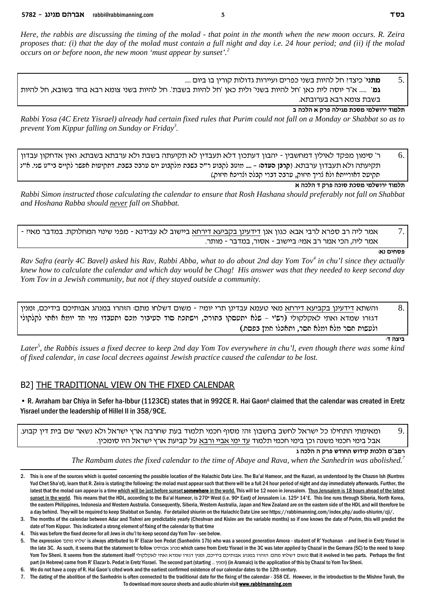*Here, the rabbis are discussing the timing of the molad - that point in the month when the new moon occurs. R. Zeira proposes that: (i) that the day of the molad must contain a full night and day i.e. 24 hour period; and (ii) if the molad occurs on or before noon, the new moon 'must appear by sunset'.<sup>2</sup>*

... **מתני**' כיצדי חל להיות בשני כפרים ועיירות גדולות קורין בו ביום ....

גמ' ..... א"ר יוסה לית כאן 'חל להיות בשני' ולית כאן 'חל להיות בשבת'. חל להיות בשני צומא רבא בחד בשובא, חל להיות בשבת צומא רבא בערובתא.

**a dkld ` wxt dlibn zkqn inlyexi cenlz**

*Rabbi Yosa (4C Eretz Yisrael) already had certain fixed rules that Purim could not fall on a Monday or Shabbat so as to prevent Yom Kippur falling on Sunday or Friday<sup>3</sup> .*

סיי סימון מפקד לאילין דמחשבין - יהבון דעתכון דלא תעבדין לא תקיעתה בשבת ולא ערבתא בשבתא. ואין אדחקון עבדון - 6. תקיעתה ולא תעבדון ערבתא. (**קרנן העדה: – ...**. מוטב לקנוע ר"ה נשנת מלקנוע יום ערנה נשנת. דתקיעות אפשר לקיים ני"ט שני. א"נ תקיעה דאורייתא ולא לריך חיזוק, ערבה דברי קבלה ולריכא חיזוק.)

**` dkld c wxt dkeq zkqn inlyexi cenlz**

*Rabbi Simon instructed those calculating the calendar to ensure that Rosh Hashana should preferably not fall on Shabbat and Hoshana Rabba should never fall on Shabbat.*

- אמר ליה רב ספרא לרבי אבא<sub>'</sub> כגון אנו דידעינו בקביעא דירחא ביישוב לא עבידנא - מפני שינוי המחלוקת. במדבר מאי*ו* -. אמר ליה, הכי אמר רב אמי: ביישוב - אסור, במדבר - מותר

#### **פסחים נא**

*Rav Safra (early 4C Bavel) asked his Rav, Rabbi Abba, what to do about 2nd day Yom Tov<sup>4</sup> in chu'l since they actually knew how to calculate the calendar and which day would be Chag! His answer was that they needed to keep second day Yom Tov in a Jewish community, but not if they stayed outside a community.* 

והשתא דידעינן בקביעא דירחא מאי טעמא עבדינן תרי יומי? - משום דשלחו מתם: הזהרו במנהג אבותיכם בידיכם, זמנין  $8.$ דגזרו שמדא ואתי לאקלקולי (רש"י – שלא יתעסקו בתורה, וישתכח סוד העיבור מכם ותעבדו נמי חד יומא ואתי לקלקולי ולעשות חסר מלא ומלא חסר, ותאכלו חמץ בפסח.)

**:כ**יצה ד

*Later<sup>5</sup> , the Rabbis issues a fixed decree to keep 2nd day Yom Tov everywhere in chu'l, even though there was some kind of fixed calendar, in case local decrees against Jewish practice caused the calendar to be lost.*

### B2] THE TRADITIONAL VIEW ON THE FIXED CALENDAR

• R. Avraham bar Chiya in Sefer ha-Ibbur (1123CE) states that in 992CE R. Hai Gaon<sup>6</sup> claimed that the calendar was created in Eretz Yisrael under the leadership of Hillel II in 358/9CE.

.9 ומאימתי התחילו כל ישראל לחשב בחשבון זה! מסוף חכמי תלמוד בעת שחרבה ארץ ישראל ולא נשאר שם בית דין קבוע. . אבל בימי חכמי משנה וכן בימי חכמי תלמוד עד ימי אביי ורבא על קביעת ארץ ישראל היו סומכין

**b dkld d wxt ycegd yeciw zekld m"anx**

 *The Rambam dates the fixed calendar to the time of Abaye and Rava, when the Sanhedrin was abolished. 7*

<sup>2.</sup> This is one of the sources which is quoted concerning the possible location of the Halachic Date Line. The Ba'al Hameor, and the Kuzari, as understood by the Chazon Ish (Kuntres Yud Chet Sha'ot), learn that R. Zeira is stating the following: the molad must appear such that there will be a full 24 hour period of night and day immediately afterwards. Further, the latest that the molad can appear is a time which will be just before sunset somewhere in the world. This will be 12 noon in Jerusalem. Thus Jerusalem is 18 hours ahead of the latest sunset in the world. This means that the HDL, according to the Ba'al Hameor, is 270° West (i.e. 90° East) of Jerusalem i.e. 125° 14'E. This line runs through Siberia, North Korea, the eastern Philippines, Indonesia and Western Australia. Consequently, Siberia, Western Australia, Japan and New Zealand are on the eastern side of the HDL and will therefore be a day behind. They will be required to keep Shabbat on Sunday. For detailed shiurim on the Halachic Date Line see https://rabbimanning.com/index.php/audio-shiurim/cji/.

<sup>3.</sup> The months of the calendar between Adar and Tishrei are predictable yearly (Cheshvan and Kislev are the variable months) so if one knows the date of Purim, this will predict the date of Yom Kippur. This indicated a strong element of fixing of the calendar by that time

<sup>4.</sup> This was before the fixed decree for all Jews in chu'l to keep second day Yom Tov - see below.

<sup>5.</sup> The expression 'mzn egly' is always attributed to R' Elazar ben Pedat (Sanhedrin 17b) who was a second generation Amora - student of R' Yochanan - and lived in Eretz Yisrael in the late 3C. As such, it seems that the statement to follow שמנהג אבותינו which came from Eretz Yisrael in the 3C was later applied by Chazal in the Gemara (5C) to the need to keep Yom Tov Sheni. It seems from the statement itself אוים דשלחו מתם: הזהרו במנהג אבותיכם בידיכם. זמניו דגזרו שמדא ואתי לאסלקולי Yom Tov Sheni. It seems from the statement itself > למשום דשלחו מתום: הזהרו במנהג אבותיכם בידיכם part (in Hebrew) came from R' Elazar b. Pedat in Eretz Yisrael. The second part (starting ... ) (in Aramaic) is the application of this by Chazal to Yom Tov Sheni.

<sup>6.</sup> We do not have a copy of R. Hai Gaon's cited work and the earliest confirmed existence of our calendar dates to the 12th century.

<sup>7.</sup> The dating of the abolition of the Sanhedrin is often connected to the traditional date for the fixing of the calendar - 358 CE. However, in the introduction to the Mishne Torah, the To download more source sheets and audio shiurim visit **www.rabbimanning.com**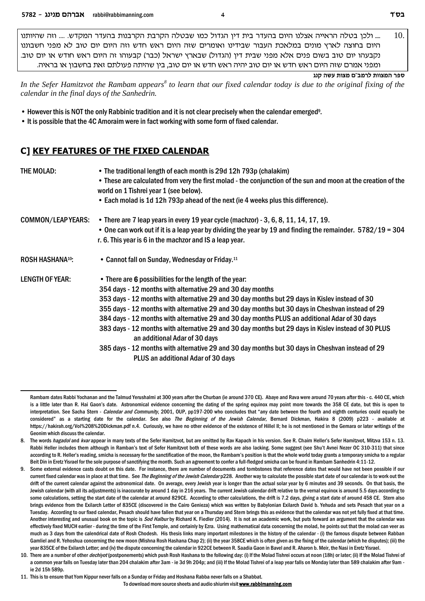10. .... ולכו בטלה הראייה אצלנו היום בהעדר בית דיו הגדול כמו שבטלה הקרבת הקרבנות בהעדר המקדש. .... וזה שהיותנו היום בחוצה לארץ מונים במלאכת העבור שבידינו ואומרים שזה היום ראש חדש וזה היום יום טוב לא מפני חשבוננו נקבעהו יום טוב בשום פנים אלא מפני שבית דין (הגדול) שבארץ ישראל (כבר) קבעוהו זה היום ראש חודש או יום טוב. ומפני אמרם שזה היום ראש חדש או יום טוב יהיה ראש חדש או יום טוב, בין שהיתה פעולתם זאת בחשבון או בראיה.

ספר המצוות לרמב"ם מצות עשה קנג

In the Sefer Hamitzvot the Rambam appears<sup>8</sup> to learn that our fixed calendar today is due to the original fixing of the calendar in the final days of the Sanhedrin.

- However this is NOT the only Rabbinic tradition and it is not clear precisely when the calendar emerged<sup>9</sup>.
- It is possible that the 4C Amoraim were in fact working with some form of fixed calendar.

### C] KEY FEATURES OF THE FIXED CALENDAR

| THE MOLAD:                   | • The traditional length of each month is 29d 12h 793p (chalakim)<br>. These are calculated from very the first molad - the conjunction of the sun and moon at the creation of the<br>world on 1 Tishrei year 1 (see below).<br>• Each molad is 1d 12h 793p ahead of the next (ie 4 weeks plus this difference).<br>• There are 7 leap years in every 19 year cycle (machzor) - 3, 6, 8, 11, 14, 17, 19.<br>• One can work out if it is a leap year by dividing the year by 19 and finding the remainder. $5782/19 = 304$<br>r. 6. This year is 6 in the machzor and IS a leap year.                                                                                                                           |  |  |  |  |  |
|------------------------------|----------------------------------------------------------------------------------------------------------------------------------------------------------------------------------------------------------------------------------------------------------------------------------------------------------------------------------------------------------------------------------------------------------------------------------------------------------------------------------------------------------------------------------------------------------------------------------------------------------------------------------------------------------------------------------------------------------------|--|--|--|--|--|
| <b>COMMON/LEAP YEARS:</b>    |                                                                                                                                                                                                                                                                                                                                                                                                                                                                                                                                                                                                                                                                                                                |  |  |  |  |  |
| ROSH HASHANA <sup>10</sup> : | • Cannot fall on Sunday, Wednesday or Friday. <sup>11</sup>                                                                                                                                                                                                                                                                                                                                                                                                                                                                                                                                                                                                                                                    |  |  |  |  |  |
| <b>LENGTH OF YEAR:</b>       | • There are 6 possibilities for the length of the year:<br>354 days - 12 months with alternative 29 and 30 day months<br>353 days - 12 months with alternative 29 and 30 day months but 29 days in Kislev instead of 30<br>355 days - 12 months with alternative 29 and 30 day months but 30 days in Cheshvan instead of 29<br>384 days - 12 months with alternative 29 and 30 day months PLUS an additional Adar of 30 days<br>383 days - 12 months with alternative 29 and 30 day months but 29 days in Kislev instead of 30 PLUS<br>an additional Adar of 30 days<br>385 days - 12 months with alternative 29 and 30 day months but 30 days in Cheshvan instead of 29<br>PLUS an additional Adar of 30 days |  |  |  |  |  |

Rambam dates Rabbi Yochanan and the Talmud Yerushalmi at 300 years after the Churban (ie around 370 CE). Abaye and Rava were around 70 years after this - c. 440 CE, which is a little later than R. Hai Gaon's date. Astronomical evidence concerning the dating of the spring equinox may point more towards the 358 CE date, but this is open to interpretation. See Sacha Stern - *Calendar and Community*, 2001, OUP, pp197-200 who concludes that "any date between the fourth and eighth centuries could equally be considered" as a starting date for the calendar. See also The Beginning of the Jewish Calendar. Bernard Dickman, Hakira 8 (2009) p223 - available at https://hakirah.org/Vol%208%20Dickman.pdf n.4. Curiously, we have no other evidence of the existence of Hillel II; he is not mentioned in the Gemara or later writings of the Geonim which discuss the calendar.

The words hagadol and kvarappear in many texts of the Sefer Hamitzvot, but are omitted by Rav Kapach in his version. See R. Chaim Heller's Sefer Hamitzvot, Mitzva 153 n. 13. 8. Rabbi Heller includes them although in Ramban's text of Sefer Hamitzvot both of these words are also lacking. Some suggest (see Shu't Avnei Nezer OC 310-311) that since according to R. Heller's reading, smicha is necessary for the sanctification of the moon, the Rambam's position is that the whole world today grants a temporary smicha to a regular Beit Din in Eretz Yisrael for the sole purpose of sanctifying the month. Such an agreement to confer a full-fledged smicha can be found in Rambam Sanhedrin 4:11-12.

Some external evidence casts doubt on this date. For instance, there are number of documents and tombstones that reference dates that would have not been possible if our current fixed calendar was in place at that time. See The Beginning of the Jewish Calendar p228. Another way to calculate the possible start date of our calendar is to work out the drift of the current calendar against the astronomical date. On average, every Jewish year is longer than the actual solar year by 6 minutes and 39 seconds. On that basis, the Jewish calendar (with all its adjustments) is inaccurate by around 1 day in 216 years. The current Jewish calendar drift relative to the vernal equinox is around 5.5 days according to some calculations, setting the start date of the calendar at around 829CE. According to other calculations, the drift is 7.2 days, giving a start date of around 458 CE. Stern also brings evidence from the Exilarch Letter of 835CE (discovered in the Cairo Genieza) which was written by Babylonian Exilarch David b. Yehuda and sets Pesach that year on a Tuesday. According to our fixed calendar, Pesach should have fallen that year on a Thursday and Stern brings this as evidence that the calendar was not yet fully fixed at that time. Another interesting and unusual book on the topic is Sod Halburby Richard K. Fiedler (2014). It is not an academic work, but puts forward an argument that the calendar was effectively fixed MUCH earlier - during the time of the First Temple, and certainly by Ezra. Using mathematical data concerning the molad, he points out that the molad can veer as much as 3 days from the calendrical date of Rosh Chodesh. His thesis links many important milestones in the history of the calendar - (i) the famous dispute between Rabban Gamliel and R. Yehoshua concerning the new moon (Mishna Rosh Hashana Chap 2); (ii) the year 358CE which is often given as the fixing of the calendar (which he disputes); (iii) the year 835CE of the Exilarch Letter; and (iv) the dispute concerning the calendar in 922CE between R. Saadia Gaon in Bavel and R. Aharon b. Meir, the Nasi in Eretz Yisrael.

<sup>10.</sup> There are a number of other *dechivot* (postponements) which push Rosh Hashana to the following day: (i) If the Molad Tishrei occurs at noon (18h) or later; (ii) If the Molad Tishrei of a common year falls on Tuesday later than 204 chalakim after 3am - ie 3d 9h 204p; and (iii) If the Molad Tishrei of a leap year falls on Monday later than 589 chalakim after 9am ie 2d 15h 589n

<sup>11.</sup> This is to ensure that Yom Kippur never falls on a Sunday or Friday and Hoshana Rabba never falls on a Shabbat.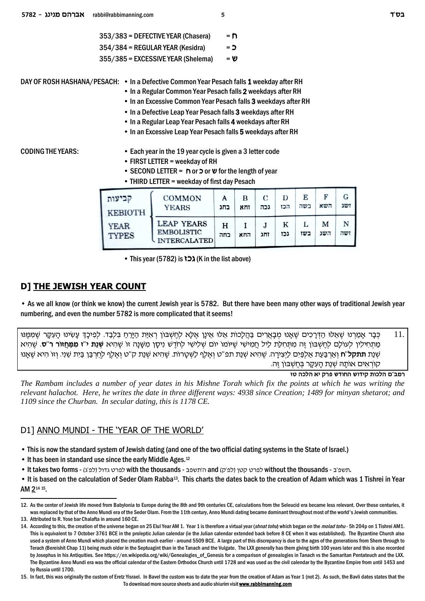| 353/383 = DEFECTIVE YEAR (Chasera) |     |  |  |  |
|------------------------------------|-----|--|--|--|
| $354/384$ = REGULAR YEAR (Kesidra) | = כ |  |  |  |

355/385 = EXCESSIVE YEAR (Shelema) = **y**

DAY OF ROSH HASHANA/PESACH: • In a Defective Common Year Pesach falls **1** weekday after RH

- In a Regular Common Year Pesach falls **2** weekdays after RH
	- In an Excessive Common Year Pesach falls **3** weekdays after RH
- In a Defective Leap Year Pesach falls **3** weekdays after RH
- In a Regular Leap Year Pesach falls **4** weekdays after RH
- In an Excessive Leap Year Pesach falls **5** weekdays after RH

- CODING THE YEARS: Each year in the 19 year cycle is given a 3 letter code
	- FIRST LETTER = weekday of RH
	- SECOND LETTER = **g** or **k** or **y** for the length of year
	- THIRD LETTER = weekday of first day Pesach

| קביעות<br><b>KEBIOTH</b><br><b>YEAR</b><br><b>TYPES</b> | <b>COMMON</b><br><b>YEARS</b>                                 | А<br>בחג | в<br>זחא | C<br>גכה  | D<br>הכז | E<br>בשה | F<br>השא | G<br>ושג |
|---------------------------------------------------------|---------------------------------------------------------------|----------|----------|-----------|----------|----------|----------|----------|
|                                                         | <b>LEAP YEARS</b><br><b>EMBOLISTIC</b><br><b>INTERCALATED</b> | н<br>בחה | החא      | e.<br>זחג | K<br>גכז | כשו      | м<br>השג | N<br>ושה |

• This year (5782) is **f** $\bigcup$  (K in the list above)

### **D] THE JEWISH YEAR COUNT**

• As we all know (or think we know) the current Jewish year is 5782. But there have been many other ways of traditional Jewish year numbering, and even the number 5782 is more complicated that it seems!

.11 \_ כָּבַר אַמַרנוּ שֶׁאֲלוּ הַדְּרַכִּים שָׁאֲנוּ מִבָּאֲרים בַּהֲלָכוֹת אֲלוּ אֵינַן אֲלָא לְחֲשָׁבּוֹן רְאַיַּת הַיַּרַח בְּלַבֵד. לְפִיכֵּדְּ עַשְׂינוּ הַעָּקֶר שַׁמַּמֵּנוּ **מַתְחִילִין לְעוֹלָם לְחֶשְׁבּוֹן זֶה מִתְּחִלַּת לֵיל חֲמִישִׁי שֶׁיּוֹמוֹ יוֹם שְׁלִישִׁי לְחֹדֶשׁ נִיסֶן מִשָּׁנָה זוֹ שֶׁהִיא <b>שְׁנַת י"ז מִמַּחֲזוֹר ר"ס**. שֶׁהִיא Ep`¨W¤ `id¦ Ÿefe§ .ip¦W¥ zi¦A© oA©x§gªl§ s¤l`¤e§ h''w zp©W§ `id¦ W¤ .zŸexh¨X§ ©l s¤l`¤e§ h''tz zp©W§ `id¦ W¤ .dx¨iv¦ i§©l mi¦R©l§ `© zr©A©x§`©e§ **g''lwzz** zp©W§ .קוֹראים אוֹתה שנת העקר בחשבון זה

**ומב"ם הלכות קידוש החודש פרק יא הלכה טז** *The Rambam includes a number of year dates in his Mishne Torah which fix the points at which he was writing the relevant halachot. Here, he writes the date in three different ways: 4938 since Creation; 1489 for minyan shetarot; and 1109 since the Churban. In secular dating, this is 1178 CE.*

### D1] ANNO MUNDI - THE 'YEAR OF THE WORLD'

• This is now the standard system of Jewish dating (and one of the two official dating systems in the State of Israel.)

- It has been in standard use since the early Middle Ages.<sup>12</sup>
- It takes two forms (לפ'ג) with the thousands ה'תשפב and (לפרט קטן (לפ'ק) and (פרט קטן לפרט קטן without the thousands -

• It is based on the calculation of Seder Olam Rabba<sup>13</sup>. This charts the dates back to the creation of Adam which was 1 Tishrei in Year AM 2<sup>14 15</sup>.

<sup>12.</sup> As the center of Jewish life moved from Babylonia to Europe during the 8th and 9th centuries CE, calculations from the Seleucid era became less relevant. Over those centuries, it was replaced by that of the Anno Mundi era of the Seder Olam. From the 11th century, Anno Mundi dating became dominant throughout most of the world's Jewish communities. 13. Attributed to R. Yose bar Chalafta in around 160 CE.

<sup>14.</sup> According to this, the creation of the universe began on 25 Elul Year AM 1. Year 1 is therefore a virtual year (*shnat tohu*) which began on the *molad tohu* - 5h 204p on 1 Tishrei AM1. This is equivalent to 7 October 3761 BCE in the proleptic Julian calendar (ie the Julian calendar extended back before 8 CE when it was established). The Byzantine Church also used a system of Anno Mundi which placed the creation much earlier - around 5509 BCE. A large part of this discrepancy is due to the ages of the generations from Shem through to Terach (Bereishit Chap 11) being much older in the Septuagint than in the Tanach and the Vulgate. The LXX generally has them giving birth 100 years later and this is also recorded by Josephus in his Antiquities. See https://en.wikipedia.org/wiki/Genealogies\_of\_Genesis for a comparison of genealogies in Tanach vs the Samaritan Pentateuch and the LXX. The Byzantine Anno Mundi era was the official calendar of the Eastern Orthodox Church until 1728 and was used as the civil calendar by the Byzantine Empire from until 1453 and by Russia until 1700.

<sup>15.</sup> In fact, this was originally the custom of Eretz Yisrael. In Bavel the custom was to date the year from the creation of Adam as Year 1 (not 2). As such, the Bavli dates states that the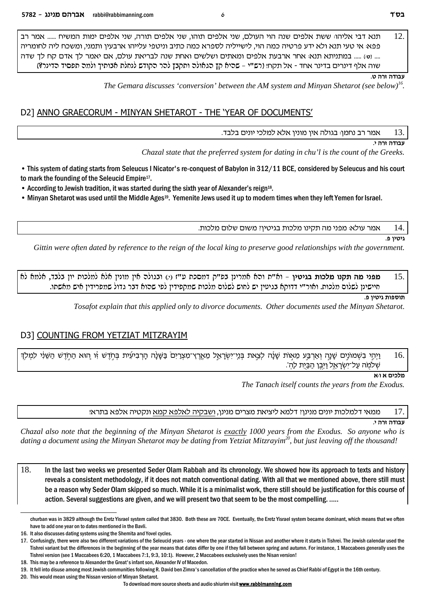תנא דבי אליהוּ ששת אלפים שנה הוי העולם, שני אלפים תוהו, שני אלפים תורה, שני אלפים ימות המשיח ...... אמר רב 12. פפא: אי טעי תנא ולא ידע פרטיה כמה הוי, לישייליה לספרא כמה כתיב וניטפי עלייהו ארבעין ותמני, ומשכח ליה לחומריה .... (00) ..... במתניתא תנא: אחר ארבעת אלפים ומאתים ושלשים ואחת שנה לבריאת עולם, אם יאמר לך אדם קח לך שדה שוה אלף דינרים בדינר אחד - אל תקח! (רש"י – שהיא קץ הגאולה ותקבץ להר הקודש לנחלת אבותיך ולמה תפסיד הדינר?)

#### ע<del>בודה זרה</del> ט

The Gemara discusses 'conversion' between the AM system and Minyan Shetarot (see below)<sup>16</sup>

### D2] ANNO GRAECORUM - MINYAN SHETAROT - THE 'YEAR OF DOCUMENTS'

13. אמר רב נחמן: בגולה אין מונין אלא למלכי יונים בלבד.

צ<del>בודה זרה</del> כ

Chazal state that the preferred system for dating in chu'l is the count of the Greeks.

• This system of dating starts from Seleucus I Nicator's re-conquest of Babylon in 312/11 BCE, considered by Seleucus and his court to mark the founding of the Seleucid Empire<sup>17</sup>.

• According to Jewish tradition, it was started during the sixth year of Alexander's reign<sup>18</sup>.

• Minyan Shetarot was used until the Middle Ages<sup>19</sup>. Yemenite Jews used it up to modern times when they left Yemen for Israel.

אמר עולא: מפני מה תקינו מלכות בגיטין? משום שלום מלכות. 14.

#### גיטיו פ.

Gittin were often dated by reference to the reign of the local king to preserve good relationships with the government.

מפני מה תקנו מלכות בגיטין - וא"ת וכא אמרינן בפ"ק דמסכת ע"ז (י) ובגולה אין מונין אלא למלכות יון בלבד, אלמא לא 15. חיישינן לשלום מלכות. ואור"י דדוקא בגיטין יש לחוש לשלום מלכות שמקפידין לפי שהוא דבר גדול שמפרידין איש מאשתו.

#### תוספות גיטין פ.

Tosafot explain that this applied only to divorce documents. Other documents used the Minyan Shetarot.

### D3] COUNTING FROM YETZIAT MITZRAYIM

וַיְהֵי בְשְׁמוֹנֵים שָׁנֵה וְאַרְבֵּע מֵאָוֹת שָׁנֵה לִצֵאת בְּנֵי־יִשְׂרַאֱל מֵאֱרֶץ־מִצְרַיִם בַּשָּׁנָה הַרְבִיעִית בְּחֹדֵשׁ זוּ הוּא הַחֹדֵשׁ הַשֶּׁנִי לִמְלֹךְ 16. שלמה על־יִשְׂרָאֵל וַיְּבֶן הַבַּיֻת לַהְ<sup>יָ</sup>.

#### מלכים א ו<sub>'</sub>א

The Tanach itself counts the years from the Exodus.

ממאי דלמלכות יונים מנינן? דלמא ליציאת מצרים מנינן, ושבקיה לאלפא קמא ונקטיה אלפא בתרא! 17.

#### עבודה זרה י.

Chazal also note that the beginning of the Minyan Shetarot is exactly 1000 years from the Exodus. So anyone who is dating a document using the Minyan Shetarot may be dating from Yetziat Mitzrayim<sup>20</sup>, but just leaving off the thousand!

18. In the last two weeks we presented Seder Olam Rabbah and its chronology. We showed how its approach to texts and history reveals a consistent methodology, if it does not match conventional dating. With all that we mentioned above, there still must be a reason why Seder Olam skipped so much. While it is a minimalist work, there still should be justification for this course of action. Several suggestions are given, and we will present two that seem to be the most compelling. .....

20. This would mean using the Nissan version of Minyan Shetarot.

churban was in 3829 although the Eretz Yisrael system called that 3830. Both these are 70CE. Eventually, the Eretz Yisrael system became dominant, which means that we often have to add one year on to dates mentioned in the Bavli.

<sup>16.</sup> It also discusses dating systems using the Shemita and Yovel cycles.

<sup>17.</sup> Confusingly, there were also two different variations of the Seleucid years - one where the year started in Nissan and another where it starts in Tishrei. The Jewish calendar used the Tishrei variant but the differences in the beginning of the year means that dates differ by one if they fall between spring and autumn. For instance, 1 Maccabees generally uses the Tishrei version (see 1 Maccabees 6:20, 1 Maccabees 7:1, 9:3, 10:1). However, 2 Maccabees exclusively uses the Nisan version!

<sup>18.</sup> This may be a reference to Alexander the Great's infant son, Alexander IV of Macedon.

<sup>19.</sup> It fell into disuse among most Jewish communities following R. David ben Zimra's cancellation of the practice when he served as Chief Rabbi of Egypt in the 16th century.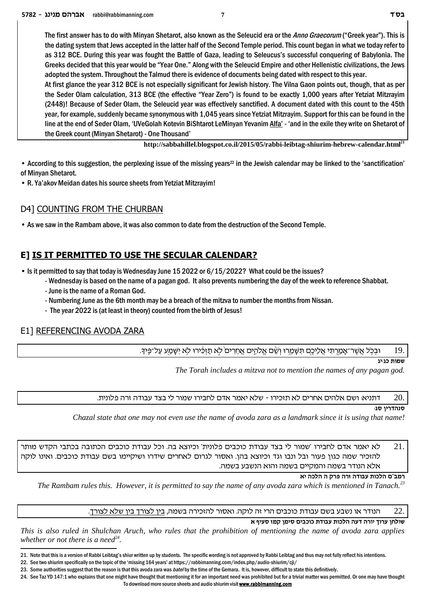The first answer has to do with Minyan Shetarot, also known as the Seleucid era or the *Anno Graecorum* ("Greek year"). This is the dating system that Jews accepted in the latter half of the Second Temple period. This count began in what we today refer to as 312 BCE. During this year was fought the Battle of Gaza, leading to Seleucus's successful conquering of Babylonia. The Greeks decided that this year would be "Year One." Along with the Seleucid Empire and other Hellenistic civilizations, the Jews adopted the system. Throughout the Talmud there is evidence of documents being dated with respect to this year.

At first glance the year 312 BCE is not especially significant for Jewish history. The Vilna Gaon points out, though, that as per the Seder Olam calculation, 313 BCE (the effective "Year Zero") is found to be exactly 1,000 years after Yetziat Mitzrayim (2448)! Because of Seder Olam, the Seleucid year was effectively sanctified. A document dated with this count to the 45th year, for example, suddenly became synonymous with 1,045 years since Yetziat Mitzrayim. Support for this can be found in the line at the end of Seder Olam, 'UVeGolah Kotevin BiShtarot LeMinyan Yevanim Alfa' - 'and in the exile they write on Shetarot of the Greek count (Minyan Shetarot) - One Thousand'

**http://sabbahillel.blogspot.co.il/2015/05/rabbi-leibtag-shiurim-hebrew-calendar.html<sup>21</sup>**

• According to this suggestion, the perplexing issue of the missing years<sup>22</sup> in the Jewish calendar may be linked to the 'sanctification' of Minyan Shetarot.

• R. Ya'akov Meidan dates his source sheets from Yetziat Mitzrayim!

### D4] COUNTING FROM THE CHURBAN

• As we saw in the Rambam above, it was also common to date from the destruction of the Second Temple.

### **E] IS IT PERMITTED TO USE THE SECULAR CALENDAR?**

• Is it permitted to say that today is Wednesday June 15 2022 or 6/15/2022? What could be the issues?

- Wednesday is based on the name of a pagan god. It also prevents numbering the day of the week to reference Shabbat.
- June is the name of a Roman God.
- Numbering June as the 6th month may be a breach of the mitzva to number the months from Nissan.
- The year 2022 is (at least in theory) counted from the birth of Jesus!

### E1] REFERENCING AVODA ZARA

.ובכל אשר־אמרתי אליכם תשמרו ושׄם אלהים אחרים ׁלא תזכורו לא ישמע על־פּידּµ [19]

**שמות כג:יג** 

*The Torah includes a mitzva not to mention the names of any pagan god.*

דתניא: ושם אלהים אחרים לא תזכירו - שלא יאמר אדם לחבירו שמור לי בצד עבודה זרה פלונית  $20. \,$ 

#### **:סנהדריו סג**

*Chazal state that one may not even use the name of avoda zara as a landmark since it is using that name!*

לא יאמר אדם לחבירו 'שמור לי בצד עבודת כוכבים פלונית' וכיוצא בה. וכל עבודת כוכבים הכתובה בכתבי הקדש מותר ' להזכיר שמה כגון פעור ובל ונבו וגד וכיוצא בהן. ואסור לגרום לאחרים שידרו ושיקיימו בשם עבודת כוכבים. ואינו לוקה .אלא הנודר בשמה והמקיים בשמה והוא הנשבע בשמה

**`i dkld d wxt dxf dcear zekld m"anx**

*The Rambam rules this. However, it is permitted to say the name of any avoda zara which is mentioned in Tanach.<sup>23</sup>*

.<sup>22</sup> הנודר או נשבע בשם עבודת כוכבים הרי זה לוקה. ואסור להזכירה בשמה, <u>בין לצורך בין שלא לצורך</u>.

**` sirq fnw oniq miakek zcear zekld drc dxei jexr ogley**

*This is also ruled in Shulchan Aruch, who rules that the prohibition of mentioning the name of avoda zara applies whether or not there is a need<sup>24</sup> .*

24. See Taz YD 147:1 who explains that one might have thought that mentioning it for an important need was prohibited but for a trivial matter was permitted. Or one may have thought To download more source sheets and audio shiurim visit **www.rabbimanning.com**

<sup>21.</sup> Note that this is a version of Rabbi Leibtag's shiur written up by students. The specific wording is not approved by Rabbi Leibtag and thus may not fully reflect his intentions.

<sup>22.</sup> See two shiurim specifically on the topic of the 'missing 164 years' at https://rabbimanning.com/index.php/audio-shiurim/cji/

<sup>23.</sup> Some authorities suggest that the reason is that this avoda zara was *batel* by the time of the Gemara. It is, however, difficult to state this definitively.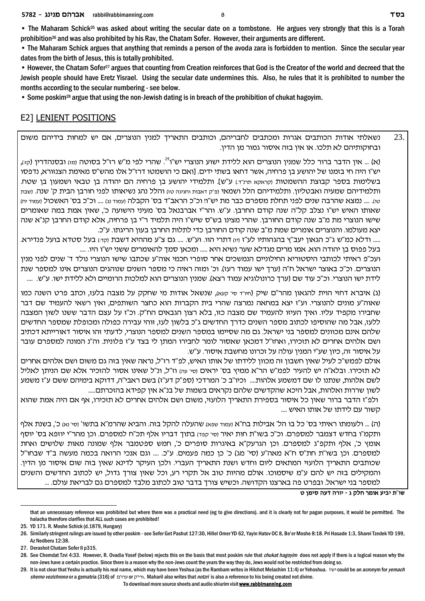• The Maharam Schick<sup>25</sup> was asked about writing the secular date on a tombstone. He argues very strongly that this is a Torah prohibition26 and was also prohibited by his Rav, the Chatam Sofer. However, their arguments are different.

• The Maharam Schick argues that anything that reminds a person of the avoda zara is forbidden to mention. Since the secular year dates from the birth of Jesus, this is totally prohibited.

• However, the Chatam Sofer27 argues that counting from Creation reinforces that God is the Creator of the world and decreed that the Jewish people should have Eretz Yisrael. Using the secular date undermines this. Also, he rules that it is prohibited to number the months according to the secular numbering - see below.

• Some poskim28 argue that using the non-Jewish dating is in breach of the prohibition of chukat hagoyim.

## E2] LENIENT POSITIONS

נשאלתי אודות הכותבים אגרות ומכתבים לחבריהם, וכותבים התאריך למנין הנוצרים, אם יש למחות בידיהם משום .ובחוקותיהם לא תלכו. או אין בזה איסור גמור מן הדין

(א) … אין הדבר ברור כלל שמנין הנוצרים הוא ללידת ישוע הנוצרי יש"ו<sup>23</sup>. שהרי לפי מ"ש רז"ל בסוטה ומז) ובסנהדרין (קוּ), יש"ו היה חי בזמנו של יהושע בן פרחיה, אשר דחאו בשתי ידים. [ואם כי הושמטו דרז"ל אלו מהש"ס מאימת הצנזורא, נדפסו בשלימות בספר קבוצת ההשמטות וקראקא תרנ"ד.) ע"ש]. ותלמידי יהושע בן פרחיה הם יהודה בן טבאי ושמעון בן שטח. ותלמידיהם שמעיה ואבטליון. ותלמידיהם הלל ושמאי נפ"ק דאבות וחגיגה טז) והלל נהג נשיאותו לפני חורבן הבית ק' שנה. ושבת (yoi .... נמצא שהרבה שנים לפני תחלת מספרם כבר מת יש"ו! וכ"כ הראב"ד בס' הקבלה (עמוד נג) .... וכ"כ בס' האשכול (עמוד יח שאותו האיש יש"ו נצלב קל"ה שנה קודם החרבן. ע"ש. והר"י אברבנאל בס' מעיני הישועה כ', שאין אמת במה שאומרים שישו הנוצרי מת מ"ב שנה קודם החורבן. שהרי מצינו בש"ס שיש"ו היה תלמיד ר"י בן פרחיה, אלא קודם החרבן קנ"א שנה יצא מעולמו. והנוצרים אומרים שמת מ"ב שנה קודם החורבן כדי לתלות החרבן בעון הריגתו. ע"כ.

..... ודלא כמ"ש ג"כ הגאון יעב"ץ בהגהותיו לע"ז (יו) דתרי הוו. וע"ש. .... גם צ"ע מההיא דשבת <sub>(קדי</sub>) בעל סטדא בועל פנדירא. בעל פפוס בן יהודה הוא. אמו מרים מגדלא שער נשיא היא ..... ומכאן סמך להאומרים ששני יש"ו היו. ....

ועכ"פ ראיתי לכותבי היסטוריא החילוניים הנמשכים אחר סופרי חכמי אוה"ע שכתבו שישו הנוצרי נולד ד' שנים לפני מנין הנוצרים. וכ"כ באוצר ישראל ח"ה (ערך ישו עמוד רעי). וכ' ומזה ראיה כי מספר השנים שנוהגים הנוצרים אינו למספר שנת לידת ישו הנוצרי. וכ"כ עוד שם (ערך כרונולוגיא עמוד רצא). שמנין הנוצרים הוא למלכות הרומיים ולא ללידת ישו. ע"ש. ....

 $\alpha$ ) איברא דחזי הוית להגאון מהר"ם שיק (חירד סי קעא), שנשאל אודות מי שחקק על מצבה בלעז, וכתב פרט השנה כמו  $\alpha$ שאוה"ע מונים להנוצרי. וע"ז יצא במחאה נמרצה שהרי בית הקברות הוא כחצר השותפים, ואין רשאי להעמיד שם דבר שחבירו מקפיד עליו. ואיך העיזו להעמיד שם מצבה כזו, בלא רצון הגבאים הח"ק. וכ"ז על עצם הדבר ששנו לשון המצבה ללעז, אבל מה שהוסיפו לכתוב מספר השנים כדרך החדשים ג"כ בלשון לעז, זוהי עבירה כפולה ומכופלת שמספר החדשים שלהם אינם מכוונים למספר בני ישראל. גם מה שסיימו במספר השנים למספר הנוצרי, לדעתי זהו איסור דאורייתא דכתיב ושם אלהים אחרים לא תזכירו, ואחז"ל דמכאן שאסור לומר לחבירו המתן לי בצד ע"ז פלונית. וה"נ המונה למספרם עובר על איסור זה, כיון שע"י המנין עולה על זכרונו מחשבת איסור. ע"ש.

אולם לפמש"כ לעיל שאין חשבון זה מכוון ללידתו של אותו האיש, לפ"ד רז"ל, נראה שאין בזה גם משום ושם אלהים אחרים לא תזכירו. ובלא"ה יש להעיר לפמ"ש הר"א ממיץ בס' יראים וסי עה) וז"ל, ונ"ל שאינו אסור להזכיר אלא שם הניתן לאליל לשם אלהות, שנתנו לו שם דמשמע אלהות.... וכיו"ב כ' המרדכי (ספ"ק דע"ז) בשם ראבי"ה, דדוקא בימיהם ששם ע"ז משמע לשון שררות ואלהות, אבל היכא שהקדשים שלהם נקראים בשמות של בנ"א אין קפידא בהזכרתם.....

ולפ"ז הדבר ברור שאין כל איסור בספירת התאריך הלועזי, משום ושם אלהים אחרים לא תזכירו, אף אם היה אמת שהוא .... קשור עם לידתו של אותו האיש

(ה) ... ולעומתו ראיתי בס' כל בו הל' אבילות בח"א (עמוד שפא) שהעלה להקל בזה. והביא שהרמ"א בתשו' (סי נא) כ', בשנת אלף ותקמ"ו בחדש דצמבר למספרם. וכ"כ בשו"ת חות יאיר (סי קפד) בתוך דבריו אלף תכ"ח למספרם. וכן מהר"י יוזפא בס' יוסף אומץ כ', אלף ותקפ"ג למספרם. וכן הגרעק"א באיגרות סופרים כ', חמש ספטמבר אלף שמונה מאות שלושים ואחת למספרם. וכן בשו"ת חת"ס ח"א מאה"ע (סי' מג) כ' כן כמה פעמים. ע"כ. .... וגם אנכי הרואה בכמה מעשה ב"ד שבחו"ל .שכותבים התאריך הלועזי המתאים ליום וחדש ושנת התאריך העברי. ולכן העיקר לדינא שאין בזה שום איסור מן הדין והמקילים בזה יש להם ע"מ שיסמוכו. אולם מהיות טוב אל תקרי רע, וכל שאין צורך גדול, יש לכתוב החדשים והשנים למספר בני ישראל. ובפרט פה בארצנו הקדושה. וכשיש צורך בדבר טוב לכתוב מלבד למספרם גם לבריאת עולם. ...

**h oniq drc dxei - b wlg xne` riai z"ey**

that an unnecessary reference was prohibited but where there was a practical need (eg to give directions). and it is clearly not for pagan purposes, it would be permitted. The halacha therefore clarifies that ALL such cases are prohibited!

<sup>25.</sup> YD 171. R. Moshe Schick (d.1879, Hungary)

<sup>26.</sup> Similarly stringent rulings are issued by other poskim - see Sefer Get Pashut 127:30, Hillel Omer YD 62, Yayin Hatov OC 8, Be'er Moshe 8:18. Pri Hasade 1:3, Sharei Tzedek YD 199, Az Nedberu 12:38.

<sup>27.</sup> Derashot Chatam Sofer II p315.

<sup>28.</sup> See Chemdat Tzvi 4:33. However, R. Ovadia Yosef (below) rejects this on the basis that most poskim rule that *chukat hagoyim* does not apply if there is a logical reason why the non-Jews have a certain practice. Since there is a reason why the non-Jews count the years the way they do, Jews would not be restricted from doing so.

<sup>29.</sup> It is not clear that Yeshu is actually his real name, which may have been Yeshua (as the Rambam writes in Hilchot Melachim 11:4) or Yehoshua. You could be an acronym for *yemach shemo vezichrono* or a gematria (316) of m'exr or w'ixe. Maharil also writes that *notzri* is also a reference to his being created not divine.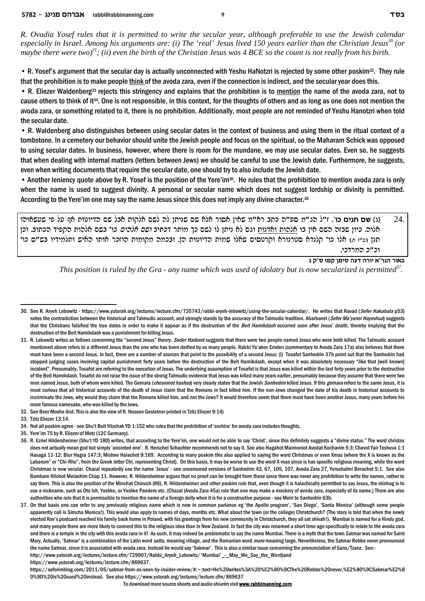*R. Ovadia Yosef rules that it is permitted to write the secular year, although preferable to use the Jewish calendar especially in Israel. Among his arguments are: (i) The 'real' Jesus lived 150 years earlier than the Christian Jesus<sup>30</sup> (or maybe there were two)<sup>31</sup>; (ii) even the birth of the Christian Jesus was 4 BCE so the count is not really from his birth.*

• R. Yosef's argument that the secular day is actually unconnected with Yeshu HaNotzri is rejected by some other poskim<sup>32</sup>. They rule that the prohibition is to make people think of the avoda zara, even if the connection is indirect, and the secular year does this.

• R. Eliezer Waldenberg<sup>33</sup> rejects this stringency and explains that the prohibition is to mention the name of the avoda zara, not to cause others to think of it34. One is not responsible, in this context, for the thoughts of others and as long as one does not mention the avoda zara, or something related to it, there is no prohibition. Additionally, most people are not reminded of Yeshu Hanotzri when told the secular date.

• R. Waldenberg also distinguishes between using secular dates in the context of business and using them in the ritual context of a tombstone. In a cemetery our behavior should unite the Jewish people and focus on the spiritual, so the Maharam Schick was opposed to using secular dates. In business, however, where there is room for the mundane, we may use secular dates. Even so, he suggests that when dealing with internal matters (letters between Jews) we should be careful to use the Jewish date. Furthermore, he suggests, even when writing documents that require the secular date, one should try to also include the Jewish date.

• Another leniency quote above by R. Yosef is the position of the Yere'im<sup>35</sup>. He rules that the prohibition to mention avoda zara is only when the name is used to suggest divinity. A personal or secular name which does not suggest lordship or divinity is permitted. According to the Yere'im one may say the name Jesus since this does not imply any divine character.<sup>36</sup>

ede`yry it lr s` zeheicd my la` zewl` myl dl ozipy my `l` xeq` oi`y n"`x azk d"tq n"bd l"f .**'ek mibg my** (b) 24. oke .aezkd citwd zedl` mya 'ek *midl` mye* aizkc xzen jk myl el ozip `l mbe zepc`e zedl` ea oi` myd dfay oeik .del` תנן (פ"ז ה) אלו כו' קלנדא סטרנורא וקרטסים שאלו שמות הדיוטות הן. ובכמה מקומות הוזכר אותו האיש ותלמידיו בש"ס כו' וכ"כ המרדכי.

**באור הגר"א יורה דעה סימן קמז ס"ק ג** 

*This position is ruled by the Gra - any name which was used of idolatry but is now secularized is permitted<sup>37</sup> .* 

35. Yere'im 75 by R. Eliezer of Metz (12C Germany).

https://www.yutorah.org/lectures/lecture.cfm/869637.

https://seforimblog.com/2011/05/satmar-from-as-seen-by-insider-review/#:~:text=He%20writes%3A%20%E2%80%9CThe%20Rebbe%20never,%E2%80%9CSakmar%E2%8 0%9D%20is%20used%20instead. See also https://www.yutorah.org/lectures/lecture.cfm/869637

<sup>30.</sup> See R. Aryeh Lebowitz - https://www.yutorah.org/lectures/lecture.cfm/735743/rabbi-aryeh-lebowitz/using-the-secular-calendar/. He writes that Ravad (*Sefer Hakabala* p53) notes the contradiction between the historical and Talmudic account, and strongly stands by the accuracy of the Talmudic tradition. Abarbanel (*Sefer Ma'yanei Hayeshua*) suggests that the Christians falsified the true dates in order to make it appear as if the destruction of the *Beit Hamikdash* occurred soon after Jesus' death, thereby implying that the destruction of the Beit Hamikdash was a punishment for killing Jesus.

<sup>31.</sup> R. Lebowitz writes as follows concerning the "second Jesus" theory. *Seder Hadorot* suggests that there were two people named Jesus who were both killed. The Talmudic account mentioned above refers to a different Jesus than the one who has been deified by so many people. Rabbi Ya'akov Emden (commentary to Avoda Zara 17a) also believes that there must have been a second Jesus. In fact, there are a number of sources that point to the possibility of a second Jesus: (i) Tosafot Sanhedrin 37b point out that the Sanhedrin had stopped judging cases involving capital punishment forty years before the destruction of the Beit Hamikdash, except when it was absolutely necessary "like that [well known] incident". Presumably, Tosafot are referring to the execution of Jesus. The underlying assumption of Tosafot is that Jesus was killed within the last forty years prior to the destruction of the Beit Hamikdash. Tosafot do not raise the issue of the strong Talmudic evidence that Jesus was killed many years earlier, presumably because they assume that there were two men named Jesus, both of whom were killed. The Gemara (*chesronot hashas*) very clearly states that the Jewish *Sanhedrin* killed Jesus. If this *gemara* refers to the same Jesus, it is most curious that all historical accounts of the death of Jesus claim that the Romans in fact killed him. If the non-Jews changed the date of his death in historical accounts to incriminate the Jews, why would they claim that the Romans killed him, and not the Jews? It would therefore seem that there must have been another Jesus, many years before his more famous namesake, who was killed by the Jews.

<sup>32.</sup> See Beer Moshe ibid. This is also the view of R. Nosson Gestetner printed in Tzitz Eliezer 9:14)

<sup>33.</sup> Tzitz Eliezer 13:14.

<sup>34.</sup> Not all poskim agree - see Shu't Beit Yitzchak YD 1:152 who rules that the prohibition of 'zechira' for avoda zara includes thoughts.

<sup>36.</sup> R. Ezriel Hildersheimer (Shu't YD 180) writes, that according to the Yere'im, one would not be able to say 'Christ', since this definitely suggests a "divine status." The word christos does not actually mean god but simply 'anointed one'. R. Herschel Schachter recommends not to say it. See also Hagahot Maimoniot Avodat Kochavim 5:3; Chavot Yair Teshuva 1:1 Hasaga 11-12; Biur Hagra 147:3; Mishne Halachot 9:169. According to many poskim this also applied to saying the word Christmas or even Xmas (where the X is known as the Labarum" or "Chi-Rho", from the Greek letter Chi, representing Christ). On this basis, it may be worse to use the word X-mas since is has specific religious meaning, while the word Christmas is now secular. Chazal repeatedly use the name 'Jesus' - see uncensored versions of Sanhedrin 43, 67, 105, 107, Avoda Zara 27, Yerushalmi Berachot 5:1. See also Rambam Hilchot Melachim Chap 11. However, R. Hildersheimer argues that no proof can be brought from these since there was never any prohibition to write the names, rather to say them. This is also the position of the Minchat Chinuch (86). R. Hildersheimer and other poskim rule that, even though it is halachically permitted to say Jesus, the minhag is to use a nickname, such as Oto Ish, Yoshke, or Yoshke Pandere etc. (Chazal (Avoda Zara 45a) rule that one may make a mockery of avoda zara, especially of its name.) There are also authorities who rule that it is permissible to mention the name of a foreign deity when it is for a constructive purpose - see Meiri to Sanhedrin 63b.

<sup>37.</sup> On that basis one can refer to any previously religious name which is now in common parlance eg 'the Apollo program', 'San Diego', 'Santa Monica' (although some people apparently call is Simcha Monica!). This would also apply to names of days, months etc. What about the town (or the college) Christchurch? (The story is told that when the newly elected Rav's postcard reached his family back home in Poland, with his greetings from his new community in Christchurch, they all sat shivah!). Mumbai is named for a Hindu god, and many people there are more likely to connect this to the religious idea than in New Zealand. In fact the city was renamed a short time ago specifically to relate to the avoda zara and there is a temple in the city with this avoda zara in it! As such, it may indeed be problematic to say the name Mumbai. There is a myth that the town Satmar was named for Saint Mary. Actually, 'Satmar' is a combination of the Latin word *sattu*, meaning village, and the Romanian word *mare* meaning large. Nevertheless, the Satmar Rebbe never pronounced the name Satmar, since it is associated with avoda zara. Instead he would say 'Sakmar'. This is also a similar issue concerning the pronunciation of Sans/Tzanz. See: http://www.yutorah.org/lectures/lecture.cfm/729907/Rabbi\_Aryeh\_Lebowitz/'Mumbai'\_-\_May\_We\_Say\_the\_Word) and